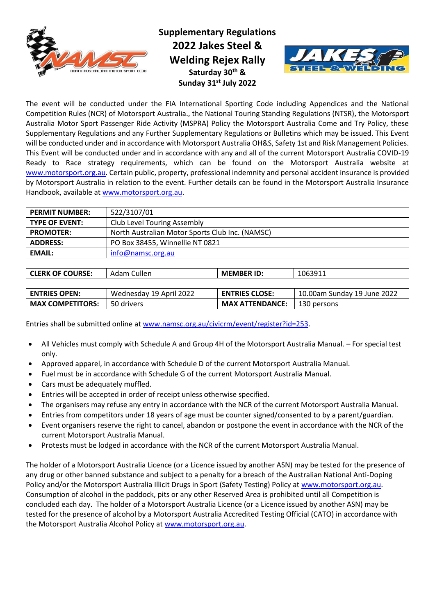

**Supplementary Regulations 2022 Jakes Steel & Welding Rejex Rally Saturday 30 th & Sunday 31st July 2022**



 $\overline{\phantom{a}}$ 

The event will be conducted under the FIA International Sporting Code including Appendices and the National Competition Rules (NCR) of Motorsport Australia., the National Touring Standing Regulations (NTSR), the Motorsport Australia Motor Sport Passenger Ride Activity (MSPRA) Policy the Motorsport Australia Come and Try Policy, these Supplementary Regulations and any Further Supplementary Regulations or Bulletins which may be issued. This Event will be conducted under and in accordance with Motorsport Australia OH&S, Safety 1st and Risk Management Policies. This Event will be conducted under and in accordance with any and all of the current Motorsport Australia COVID-19 Ready to Race strategy requirements, which can be found on the Motorsport Australia website at [www.motorsport.org.au.](http://www.motorsport.org.au/) Certain public, property, professional indemnity and personal accident insurance is provided by Motorsport Australia in relation to the event. Further details can be found in the Motorsport Australia Insurance Handbook, available at [www.motorsport.org.au.](http://www.motorsport.org.au/)

| <b>PERMIT NUMBER:</b> | 522/3107/01                                     |  |
|-----------------------|-------------------------------------------------|--|
| <b>TYPE OF EVENT:</b> | <b>Club Level Touring Assembly</b>              |  |
| <b>PROMOTER:</b>      | North Australian Motor Sports Club Inc. (NAMSC) |  |
| <b>ADDRESS:</b>       | PO Box 38455, Winnellie NT 0821                 |  |
| <b>EMAIL:</b>         | info@namsc.org.au                               |  |

| <b>CLERK OF COURSE:</b> | Cullen<br>Adam | <b>MEMBER ID:</b> | 1063911 |
|-------------------------|----------------|-------------------|---------|
|-------------------------|----------------|-------------------|---------|

| <b>ENTRIES OPEN:</b>    | Wednesday 19 April 2022 | <b>ENTRIES CLOSE:</b>  | 10.00am Sunday 19 June 2022 |
|-------------------------|-------------------------|------------------------|-----------------------------|
| <b>MAX COMPETITORS:</b> | 50 drivers              | <b>MAX ATTENDANCE:</b> | 130 persons                 |

Entries shall be submitted online a[t www.namsc.org.au/civicrm/event/register?id=253.](http://www.namsc.org.au/civicrm/event/register?id=253)

- All Vehicles must comply with Schedule A and Group 4H of the Motorsport Australia Manual. For special test only.
- Approved apparel, in accordance with Schedule D of the current Motorsport Australia Manual.
- Fuel must be in accordance with Schedule G of the current Motorsport Australia Manual.
- Cars must be adequately muffled.
- Entries will be accepted in order of receipt unless otherwise specified.
- The organisers may refuse any entry in accordance with the NCR of the current Motorsport Australia Manual.
- Entries from competitors under 18 years of age must be counter signed/consented to by a parent/guardian.
- Event organisers reserve the right to cancel, abandon or postpone the event in accordance with the NCR of the current Motorsport Australia Manual.
- Protests must be lodged in accordance with the NCR of the current Motorsport Australia Manual.

The holder of a Motorsport Australia Licence (or a Licence issued by another ASN) may be tested for the presence of any drug or other banned substance and subject to a penalty for a breach of the Australian National Anti-Doping Policy and/or the Motorsport Australia Illicit Drugs in Sport (Safety Testing) Policy at [www.motorsport.org.au.](http://www.motorsport.org.au/) Consumption of alcohol in the paddock, pits or any other Reserved Area is prohibited until all Competition is concluded each day. The holder of a Motorsport Australia Licence (or a Licence issued by another ASN) may be tested for the presence of alcohol by a Motorsport Australia Accredited Testing Official (CATO) in accordance with the Motorsport Australia Alcohol Policy at [www.motorsport.org.au.](http://www.motorsport.org.au/)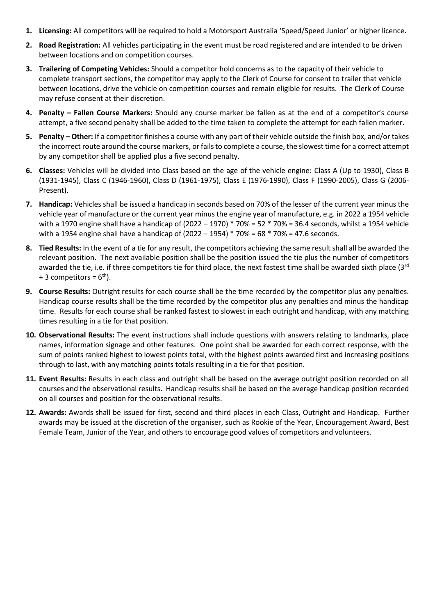- **1. Licensing:** All competitors will be required to hold a Motorsport Australia 'Speed/Speed Junior' or higher licence.
- **2. Road Registration:** All vehicles participating in the event must be road registered and are intended to be driven between locations and on competition courses.
- **3. Trailering of Competing Vehicles:** Should a competitor hold concerns as to the capacity of their vehicle to complete transport sections, the competitor may apply to the Clerk of Course for consent to trailer that vehicle between locations, drive the vehicle on competition courses and remain eligible for results. The Clerk of Course may refuse consent at their discretion.
- **4. Penalty – Fallen Course Markers:** Should any course marker be fallen as at the end of a competitor's course attempt, a five second penalty shall be added to the time taken to complete the attempt for each fallen marker.
- **5. Penalty – Other:** If a competitor finishes a course with any part of their vehicle outside the finish box, and/or takes the incorrect route around the course markers, or fails to complete a course, the slowest time for a correct attempt by any competitor shall be applied plus a five second penalty.
- **6. Classes:** Vehicles will be divided into Class based on the age of the vehicle engine: Class A (Up to 1930), Class B (1931-1945), Class C (1946-1960), Class D (1961-1975), Class E (1976-1990), Class F (1990-2005), Class G (2006- Present).
- **7. Handicap:** Vehicles shall be issued a handicap in seconds based on 70% of the lesser of the current year minus the vehicle year of manufacture or the current year minus the engine year of manufacture, e.g. in 2022 a 1954 vehicle with a 1970 engine shall have a handicap of (2022 – 1970) \* 70% = 52 \* 70% = 36.4 seconds, whilst a 1954 vehicle with a 1954 engine shall have a handicap of  $(2022 - 1954) * 70% = 68 * 70% = 47.6$  seconds.
- **8. Tied Results:** In the event of a tie for any result, the competitors achieving the same result shall all be awarded the relevant position. The next available position shall be the position issued the tie plus the number of competitors awarded the tie, i.e. if three competitors tie for third place, the next fastest time shall be awarded sixth place  $(3<sup>rd</sup>$ + 3 competitors =  $6<sup>th</sup>$ ).
- **9. Course Results:** Outright results for each course shall be the time recorded by the competitor plus any penalties. Handicap course results shall be the time recorded by the competitor plus any penalties and minus the handicap time. Results for each course shall be ranked fastest to slowest in each outright and handicap, with any matching times resulting in a tie for that position.
- **10. Observational Results:** The event instructions shall include questions with answers relating to landmarks, place names, information signage and other features. One point shall be awarded for each correct response, with the sum of points ranked highest to lowest points total, with the highest points awarded first and increasing positions through to last, with any matching points totals resulting in a tie for that position.
- **11. Event Results:** Results in each class and outright shall be based on the average outright position recorded on all courses and the observational results. Handicap results shall be based on the average handicap position recorded on all courses and position for the observational results.
- **12. Awards:** Awards shall be issued for first, second and third places in each Class, Outright and Handicap. Further awards may be issued at the discretion of the organiser, such as Rookie of the Year, Encouragement Award, Best Female Team, Junior of the Year, and others to encourage good values of competitors and volunteers.